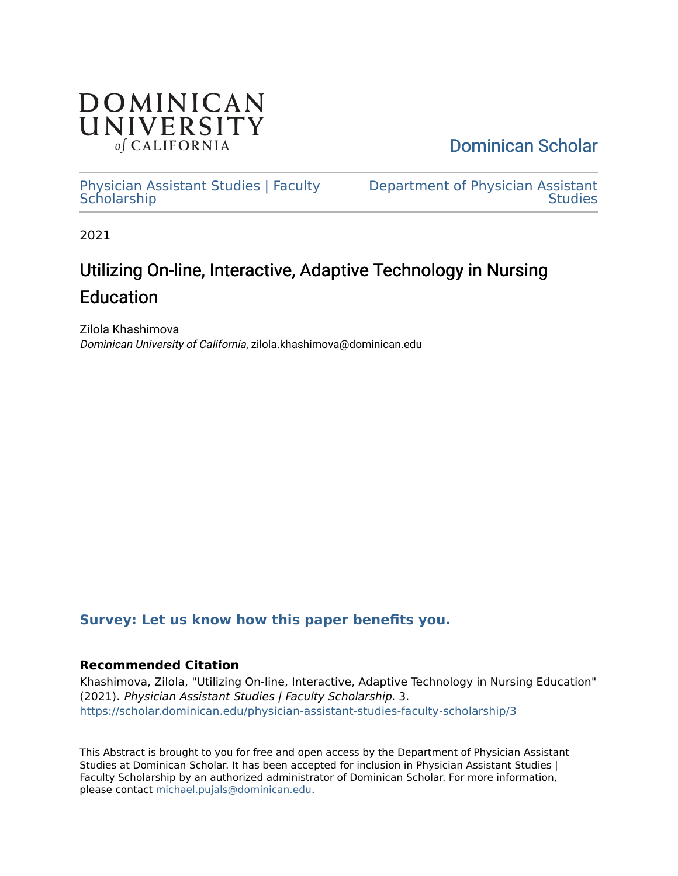

[Dominican Scholar](https://scholar.dominican.edu/) 

[Physician Assistant Studies | Faculty](https://scholar.dominican.edu/physician-assistant-studies-faculty-scholarship) **Scholarship** 

[Department of Physician Assistant](https://scholar.dominican.edu/physician-assistant-studies)  **Studies** 

2021

# Utilizing On-line, Interactive, Adaptive Technology in Nursing Education

Zilola Khashimova Dominican University of California, zilola.khashimova@dominican.edu

# **[Survey: Let us know how this paper benefits you.](https://dominican.libwizard.com/dominican-scholar-feedback)**

## **Recommended Citation**

Khashimova, Zilola, "Utilizing On-line, Interactive, Adaptive Technology in Nursing Education" (2021). Physician Assistant Studies | Faculty Scholarship. 3. [https://scholar.dominican.edu/physician-assistant-studies-faculty-scholarship/3](https://scholar.dominican.edu/physician-assistant-studies-faculty-scholarship/3?utm_source=scholar.dominican.edu%2Fphysician-assistant-studies-faculty-scholarship%2F3&utm_medium=PDF&utm_campaign=PDFCoverPages) 

This Abstract is brought to you for free and open access by the Department of Physician Assistant Studies at Dominican Scholar. It has been accepted for inclusion in Physician Assistant Studies | Faculty Scholarship by an authorized administrator of Dominican Scholar. For more information, please contact [michael.pujals@dominican.edu.](mailto:michael.pujals@dominican.edu)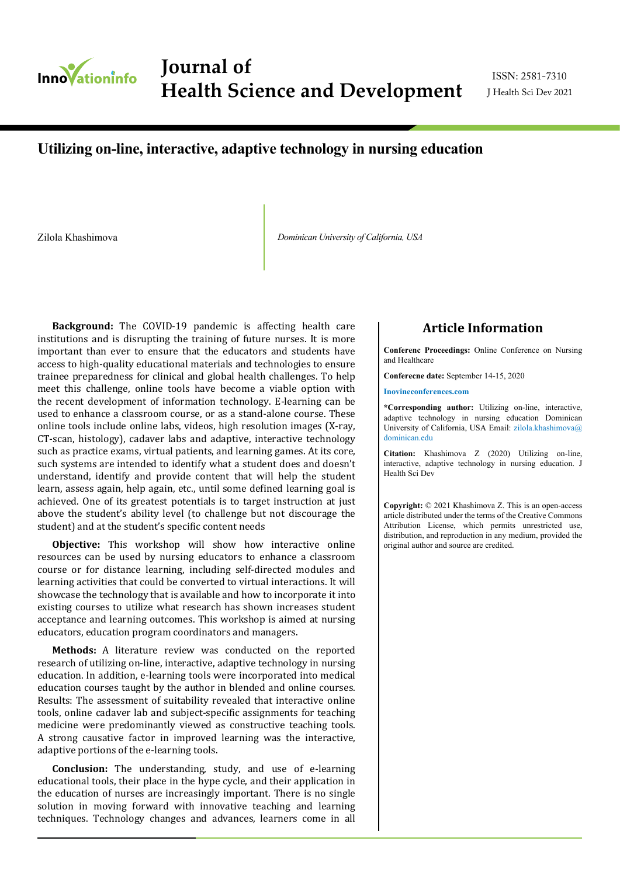

**Journal of Applied Microbiological Research Journal of**  Health Science and Development JHealth Sci Dev 2021

ISSN: 2581-7310

# **Utilizing on-line, interactive, adaptive technology in nursing education**

Zilola Khashimova *Dominican University of California, USA*

**Background:** The COVID-19 pandemic is affecting health care institutions and is disrupting the training of future nurses. It is more important than ever to ensure that the educators and students have access to high-quality educational materials and technologies to ensure trainee preparedness for clinical and global health challenges. To help meet this challenge, online tools have become a viable option with the recent development of information technology. E-learning can be used to enhance a classroom course, or as a stand-alone course. These online tools include online labs, videos, high resolution images (X-ray, CT-scan, histology), cadaver labs and adaptive, interactive technology such as practice exams, virtual patients, and learning games. At its core, such systems are intended to identify what a student does and doesn't understand, identify and provide content that will help the student learn, assess again, help again, etc., until some defined learning goal is achieved. One of its greatest potentials is to target instruction at just above the student's ability level (to challenge but not discourage the student) and at the student's specific content needs

**Objective:** This workshop will show how interactive online resources can be used by nursing educators to enhance a classroom course or for distance learning, including self-directed modules and learning activities that could be converted to virtual interactions. It will showcase the technology that is available and how to incorporate it into existing courses to utilize what research has shown increases student acceptance and learning outcomes. This workshop is aimed at nursing educators, education program coordinators and managers.

**Methods:** A literature review was conducted on the reported research of utilizing on-line, interactive, adaptive technology in nursing education. In addition, e-learning tools were incorporated into medical education courses taught by the author in blended and online courses. Results: The assessment of suitability revealed that interactive online tools, online cadaver lab and subject-specific assignments for teaching medicine were predominantly viewed as constructive teaching tools. A strong causative factor in improved learning was the interactive, adaptive portions of the e-learning tools.

**Conclusion:** The understanding, study, and use of e-learning educational tools, their place in the hype cycle, and their application in the education of nurses are increasingly important. There is no single solution in moving forward with innovative teaching and learning techniques. Technology changes and advances, learners come in all

### **Article Information**

**Conferenc Proceedings:** Online Conference on Nursing and Healthcare

**Conferecne date:** September 14-15, 2020

**Inovineconferences.com**

**\*Corresponding author:** Utilizing on-line, interactive, adaptive technology in nursing education Dominican University of California, USA Email: zilola.khashimova@ dominican.edu

**Citation:** Khashimova Z (2020) Utilizing on-line, interactive, adaptive technology in nursing education. J Health Sci Dev

**Copyright:** © 2021 Khashimova Z. This is an open-access article distributed under the terms of the Creative Commons Attribution License, which permits unrestricted use, distribution, and reproduction in any medium, provided the original author and source are credited.